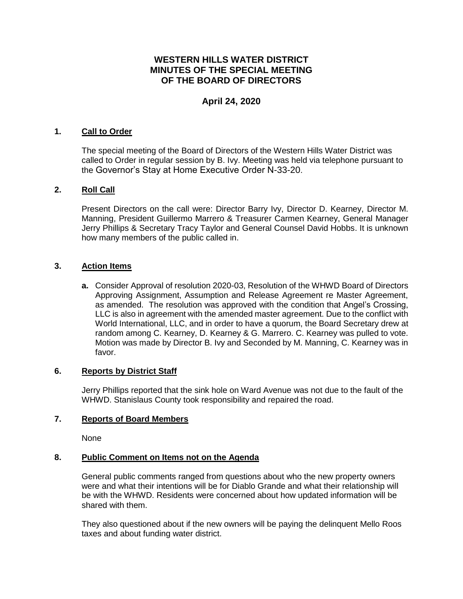# **WESTERN HILLS WATER DISTRICT MINUTES OF THE SPECIAL MEETING OF THE BOARD OF DIRECTORS**

## **April 24, 2020**

### **1. Call to Order**

The special meeting of the Board of Directors of the Western Hills Water District was called to Order in regular session by B. Ivy. Meeting was held via telephone pursuant to the Governor's Stay at Home Executive Order N-33-20.

## **2. Roll Call**

Present Directors on the call were: Director Barry Ivy, Director D. Kearney, Director M. Manning, President Guillermo Marrero & Treasurer Carmen Kearney, General Manager Jerry Phillips & Secretary Tracy Taylor and General Counsel David Hobbs. It is unknown how many members of the public called in.

## **3. Action Items**

**a.** Consider Approval of resolution 2020-03, Resolution of the WHWD Board of Directors Approving Assignment, Assumption and Release Agreement re Master Agreement, as amended. The resolution was approved with the condition that Angel's Crossing, LLC is also in agreement with the amended master agreement. Due to the conflict with World International, LLC, and in order to have a quorum, the Board Secretary drew at random among C. Kearney, D. Kearney & G. Marrero. C. Kearney was pulled to vote. Motion was made by Director B. Ivy and Seconded by M. Manning, C. Kearney was in favor.

#### **6. Reports by District Staff**

Jerry Phillips reported that the sink hole on Ward Avenue was not due to the fault of the WHWD. Stanislaus County took responsibility and repaired the road.

#### **7. Reports of Board Members**

None

#### **8. Public Comment on Items not on the Agenda**

General public comments ranged from questions about who the new property owners were and what their intentions will be for Diablo Grande and what their relationship will be with the WHWD. Residents were concerned about how updated information will be shared with them.

They also questioned about if the new owners will be paying the delinquent Mello Roos taxes and about funding water district.